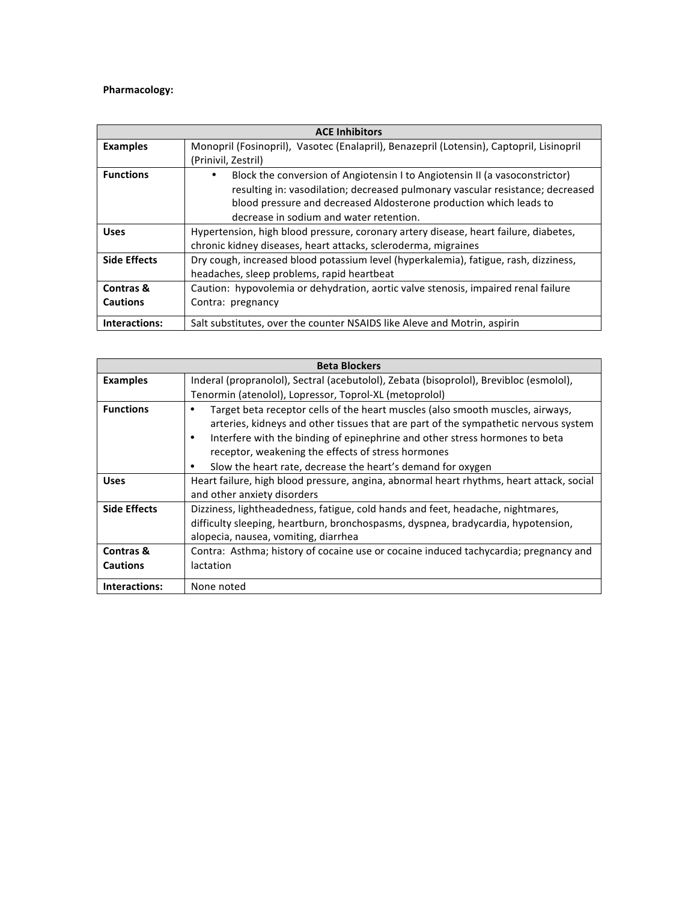## **Pharmacology:**

| <b>ACE Inhibitors</b> |                                                                                          |
|-----------------------|------------------------------------------------------------------------------------------|
| <b>Examples</b>       | Monopril (Fosinopril), Vasotec (Enalapril), Benazepril (Lotensin), Captopril, Lisinopril |
|                       | (Prinivil, Zestril)                                                                      |
| <b>Functions</b>      | Block the conversion of Angiotensin I to Angiotensin II (a vasoconstrictor)<br>٠         |
|                       | resulting in: vasodilation; decreased pulmonary vascular resistance; decreased           |
|                       | blood pressure and decreased Aldosterone production which leads to                       |
|                       | decrease in sodium and water retention.                                                  |
| <b>Uses</b>           | Hypertension, high blood pressure, coronary artery disease, heart failure, diabetes,     |
|                       | chronic kidney diseases, heart attacks, scleroderma, migraines                           |
| <b>Side Effects</b>   | Dry cough, increased blood potassium level (hyperkalemia), fatigue, rash, dizziness,     |
|                       | headaches, sleep problems, rapid heartbeat                                               |
| Contras &             | Caution: hypovolemia or dehydration, aortic valve stenosis, impaired renal failure       |
| <b>Cautions</b>       | Contra: pregnancy                                                                        |
| Interactions:         | Salt substitutes, over the counter NSAIDS like Aleve and Motrin, aspirin                 |

|                     | <b>Beta Blockers</b>                                                                                                                                                                                                                                                                                            |
|---------------------|-----------------------------------------------------------------------------------------------------------------------------------------------------------------------------------------------------------------------------------------------------------------------------------------------------------------|
| <b>Examples</b>     | Inderal (propranolol), Sectral (acebutolol), Zebata (bisoprolol), Brevibloc (esmolol),                                                                                                                                                                                                                          |
|                     | Tenormin (atenolol), Lopressor, Toprol-XL (metoprolol)                                                                                                                                                                                                                                                          |
| <b>Functions</b>    | Target beta receptor cells of the heart muscles (also smooth muscles, airways,<br>arteries, kidneys and other tissues that are part of the sympathetic nervous system<br>Interfere with the binding of epinephrine and other stress hormones to beta<br>٠<br>receptor, weakening the effects of stress hormones |
|                     | Slow the heart rate, decrease the heart's demand for oxygen                                                                                                                                                                                                                                                     |
| <b>Uses</b>         | Heart failure, high blood pressure, angina, abnormal heart rhythms, heart attack, social                                                                                                                                                                                                                        |
|                     | and other anxiety disorders                                                                                                                                                                                                                                                                                     |
| <b>Side Effects</b> | Dizziness, lightheadedness, fatigue, cold hands and feet, headache, nightmares,                                                                                                                                                                                                                                 |
|                     | difficulty sleeping, heartburn, bronchospasms, dyspnea, bradycardia, hypotension,                                                                                                                                                                                                                               |
|                     | alopecia, nausea, vomiting, diarrhea                                                                                                                                                                                                                                                                            |
| Contras &           | Contra: Asthma; history of cocaine use or cocaine induced tachycardia; pregnancy and                                                                                                                                                                                                                            |
| <b>Cautions</b>     | lactation                                                                                                                                                                                                                                                                                                       |
| Interactions:       | None noted                                                                                                                                                                                                                                                                                                      |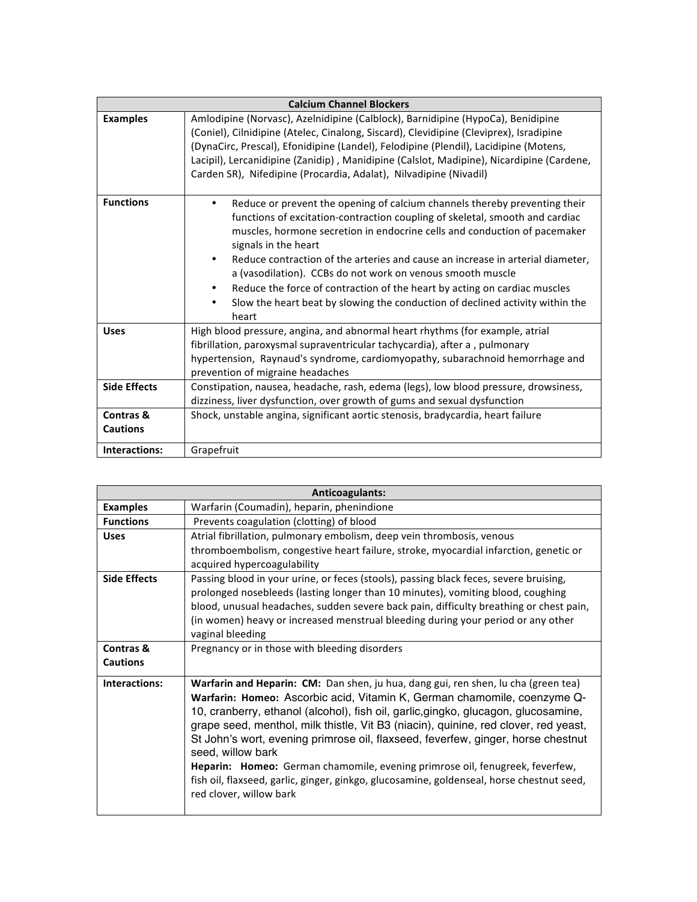|                              | <b>Calcium Channel Blockers</b>                                                                                                                                                                                                                                                                                                                                                                                                                                                                                                                                                                                    |
|------------------------------|--------------------------------------------------------------------------------------------------------------------------------------------------------------------------------------------------------------------------------------------------------------------------------------------------------------------------------------------------------------------------------------------------------------------------------------------------------------------------------------------------------------------------------------------------------------------------------------------------------------------|
| <b>Examples</b>              | Amlodipine (Norvasc), Azelnidipine (Calblock), Barnidipine (HypoCa), Benidipine<br>(Coniel), Cilnidipine (Atelec, Cinalong, Siscard), Clevidipine (Cleviprex), Isradipine<br>(DynaCirc, Prescal), Efonidipine (Landel), Felodipine (Plendil), Lacidipine (Motens,<br>Lacipil), Lercanidipine (Zanidip), Manidipine (Calslot, Madipine), Nicardipine (Cardene,<br>Carden SR), Nifedipine (Procardia, Adalat), Nilvadipine (Nivadil)                                                                                                                                                                                 |
| <b>Functions</b>             | Reduce or prevent the opening of calcium channels thereby preventing their<br>٠<br>functions of excitation-contraction coupling of skeletal, smooth and cardiac<br>muscles, hormone secretion in endocrine cells and conduction of pacemaker<br>signals in the heart<br>Reduce contraction of the arteries and cause an increase in arterial diameter,<br>$\bullet$<br>a (vasodilation). CCBs do not work on venous smooth muscle<br>Reduce the force of contraction of the heart by acting on cardiac muscles<br>٠<br>Slow the heart beat by slowing the conduction of declined activity within the<br>٠<br>heart |
| <b>Uses</b>                  | High blood pressure, angina, and abnormal heart rhythms (for example, atrial<br>fibrillation, paroxysmal supraventricular tachycardia), after a, pulmonary<br>hypertension, Raynaud's syndrome, cardiomyopathy, subarachnoid hemorrhage and<br>prevention of migraine headaches                                                                                                                                                                                                                                                                                                                                    |
| <b>Side Effects</b>          | Constipation, nausea, headache, rash, edema (legs), low blood pressure, drowsiness,<br>dizziness, liver dysfunction, over growth of gums and sexual dysfunction                                                                                                                                                                                                                                                                                                                                                                                                                                                    |
| Contras &<br><b>Cautions</b> | Shock, unstable angina, significant aortic stenosis, bradycardia, heart failure                                                                                                                                                                                                                                                                                                                                                                                                                                                                                                                                    |
| Interactions:                | Grapefruit                                                                                                                                                                                                                                                                                                                                                                                                                                                                                                                                                                                                         |

|                     | <b>Anticoagulants:</b>                                                                    |
|---------------------|-------------------------------------------------------------------------------------------|
| <b>Examples</b>     | Warfarin (Coumadin), heparin, phenindione                                                 |
| <b>Functions</b>    | Prevents coagulation (clotting) of blood                                                  |
| <b>Uses</b>         | Atrial fibrillation, pulmonary embolism, deep vein thrombosis, venous                     |
|                     | thromboembolism, congestive heart failure, stroke, myocardial infarction, genetic or      |
|                     | acquired hypercoagulability                                                               |
| <b>Side Effects</b> | Passing blood in your urine, or feces (stools), passing black feces, severe bruising,     |
|                     | prolonged nosebleeds (lasting longer than 10 minutes), vomiting blood, coughing           |
|                     | blood, unusual headaches, sudden severe back pain, difficulty breathing or chest pain,    |
|                     | (in women) heavy or increased menstrual bleeding during your period or any other          |
|                     | vaginal bleeding                                                                          |
| Contras &           | Pregnancy or in those with bleeding disorders                                             |
| <b>Cautions</b>     |                                                                                           |
| Interactions:       | Warfarin and Heparin: CM: Dan shen, ju hua, dang gui, ren shen, lu cha (green tea)        |
|                     | Warfarin: Homeo: Ascorbic acid, Vitamin K, German chamomile, coenzyme Q-                  |
|                     | 10, cranberry, ethanol (alcohol), fish oil, garlic, gingko, glucagon, glucosamine,        |
|                     | grape seed, menthol, milk thistle, Vit B3 (niacin), quinine, red clover, red yeast,       |
|                     | St John's wort, evening primrose oil, flaxseed, feverfew, ginger, horse chestnut          |
|                     | seed, willow bark                                                                         |
|                     | <b>Heparin: Homeo:</b> German chamomile, evening primrose oil, fenugreek, feverfew,       |
|                     | fish oil, flaxseed, garlic, ginger, ginkgo, glucosamine, goldenseal, horse chestnut seed, |
|                     | red clover, willow bark                                                                   |
|                     |                                                                                           |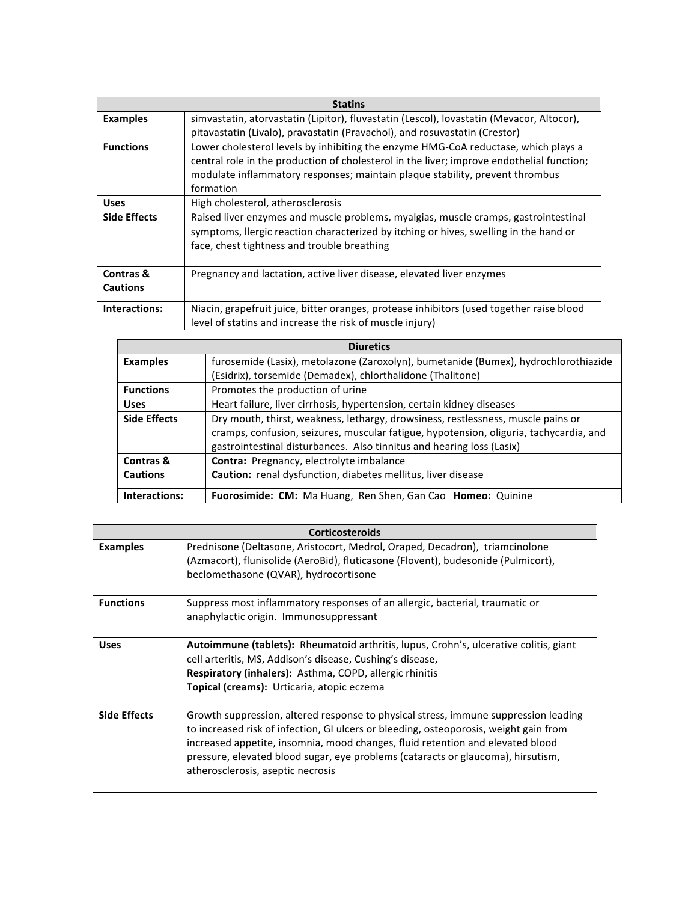|                     | <b>Statins</b>                                                                            |
|---------------------|-------------------------------------------------------------------------------------------|
| <b>Examples</b>     | simvastatin, atorvastatin (Lipitor), fluvastatin (Lescol), lovastatin (Mevacor, Altocor), |
|                     | pitavastatin (Livalo), pravastatin (Pravachol), and rosuvastatin (Crestor)                |
| <b>Functions</b>    | Lower cholesterol levels by inhibiting the enzyme HMG-CoA reductase, which plays a        |
|                     | central role in the production of cholesterol in the liver; improve endothelial function; |
|                     | modulate inflammatory responses; maintain plaque stability, prevent thrombus              |
|                     | formation                                                                                 |
| <b>Uses</b>         | High cholesterol, atherosclerosis                                                         |
| <b>Side Effects</b> | Raised liver enzymes and muscle problems, myalgias, muscle cramps, gastrointestinal       |
|                     | symptoms, llergic reaction characterized by itching or hives, swelling in the hand or     |
|                     | face, chest tightness and trouble breathing                                               |
|                     |                                                                                           |
| Contras &           | Pregnancy and lactation, active liver disease, elevated liver enzymes                     |
| <b>Cautions</b>     |                                                                                           |
| Interactions:       | Niacin, grapefruit juice, bitter oranges, protease inhibitors (used together raise blood  |
|                     | level of statins and increase the risk of muscle injury)                                  |

| <b>Diuretics</b>    |                                                                                        |
|---------------------|----------------------------------------------------------------------------------------|
| <b>Examples</b>     | furosemide (Lasix), metolazone (Zaroxolyn), bumetanide (Bumex), hydrochlorothiazide    |
|                     | (Esidrix), torsemide (Demadex), chlorthalidone (Thalitone)                             |
| <b>Functions</b>    | Promotes the production of urine                                                       |
| <b>Uses</b>         | Heart failure, liver cirrhosis, hypertension, certain kidney diseases                  |
| <b>Side Effects</b> | Dry mouth, thirst, weakness, lethargy, drowsiness, restlessness, muscle pains or       |
|                     | cramps, confusion, seizures, muscular fatigue, hypotension, oliguria, tachycardia, and |
|                     | gastrointestinal disturbances. Also tinnitus and hearing loss (Lasix)                  |
| Contras &           | <b>Contra:</b> Pregnancy, electrolyte imbalance                                        |
| <b>Cautions</b>     | <b>Caution:</b> renal dysfunction, diabetes mellitus, liver disease                    |
| Interactions:       | <b>Fuorosimide: CM:</b> Ma Huang, Ren Shen, Gan Cao <b>Homeo:</b> Quinine              |

|                     | <b>Corticosteroids</b>                                                                                                                                                                                                                                                                                                                                                                  |  |
|---------------------|-----------------------------------------------------------------------------------------------------------------------------------------------------------------------------------------------------------------------------------------------------------------------------------------------------------------------------------------------------------------------------------------|--|
| <b>Examples</b>     | Prednisone (Deltasone, Aristocort, Medrol, Oraped, Decadron), triamcinolone<br>(Azmacort), flunisolide (AeroBid), fluticasone (Flovent), budesonide (Pulmicort),<br>beclomethasone (QVAR), hydrocortisone                                                                                                                                                                               |  |
| <b>Functions</b>    | Suppress most inflammatory responses of an allergic, bacterial, traumatic or<br>anaphylactic origin. Immunosuppressant                                                                                                                                                                                                                                                                  |  |
| <b>Uses</b>         | <b>Autoimmune (tablets):</b> Rheumatoid arthritis, lupus, Crohn's, ulcerative colitis, giant<br>cell arteritis, MS, Addison's disease, Cushing's disease,<br>Respiratory (inhalers): Asthma, COPD, allergic rhinitis<br>Topical (creams): Urticaria, atopic eczema                                                                                                                      |  |
| <b>Side Effects</b> | Growth suppression, altered response to physical stress, immune suppression leading<br>to increased risk of infection, GI ulcers or bleeding, osteoporosis, weight gain from<br>increased appetite, insomnia, mood changes, fluid retention and elevated blood<br>pressure, elevated blood sugar, eye problems (cataracts or glaucoma), hirsutism,<br>atherosclerosis, aseptic necrosis |  |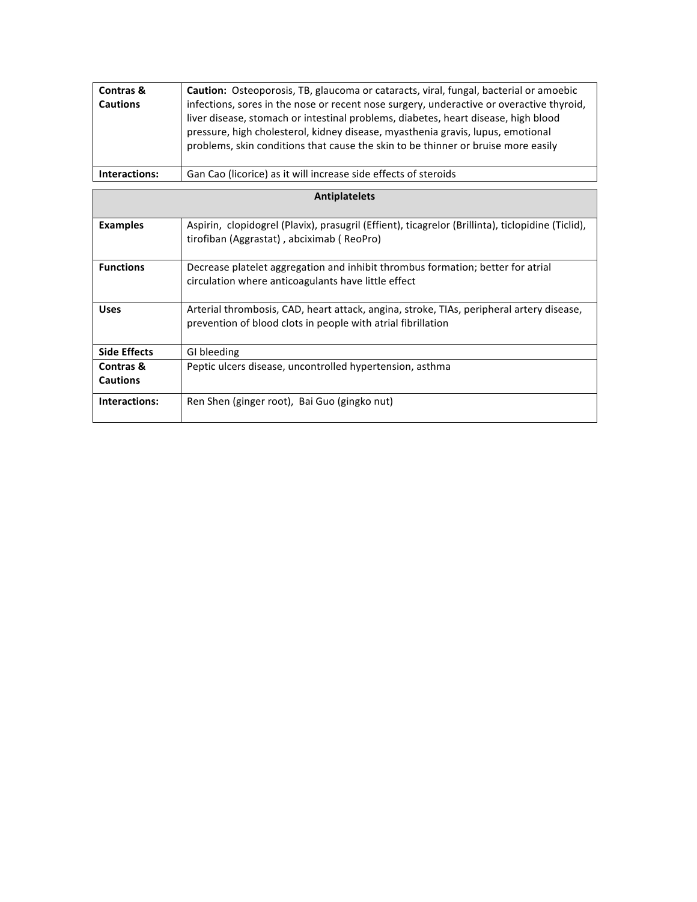| <b>Contras &amp;</b><br><b>Cautions</b> | <b>Caution:</b> Osteoporosis, TB, glaucoma or cataracts, viral, fungal, bacterial or amoebic<br>infections, sores in the nose or recent nose surgery, underactive or overactive thyroid,<br>liver disease, stomach or intestinal problems, diabetes, heart disease, high blood<br>pressure, high cholesterol, kidney disease, myasthenia gravis, lupus, emotional<br>problems, skin conditions that cause the skin to be thinner or bruise more easily |
|-----------------------------------------|--------------------------------------------------------------------------------------------------------------------------------------------------------------------------------------------------------------------------------------------------------------------------------------------------------------------------------------------------------------------------------------------------------------------------------------------------------|
| Interactions:                           | Gan Cao (licorice) as it will increase side effects of steroids                                                                                                                                                                                                                                                                                                                                                                                        |

| <b>Antiplatelets</b> |                                                                                                                                                          |
|----------------------|----------------------------------------------------------------------------------------------------------------------------------------------------------|
| <b>Examples</b>      | Aspirin, clopidogrel (Plavix), prasugril (Effient), ticagrelor (Brillinta), ticlopidine (Ticlid),<br>tirofiban (Aggrastat), abciximab (ReoPro)           |
| <b>Functions</b>     | Decrease platelet aggregation and inhibit thrombus formation; better for atrial<br>circulation where anticoagulants have little effect                   |
| <b>Uses</b>          | Arterial thrombosis, CAD, heart attack, angina, stroke, TIAs, peripheral artery disease,<br>prevention of blood clots in people with atrial fibrillation |
| <b>Side Effects</b>  | GI bleeding                                                                                                                                              |
| Contras &            | Peptic ulcers disease, uncontrolled hypertension, asthma                                                                                                 |
| <b>Cautions</b>      |                                                                                                                                                          |
| Interactions:        | Ren Shen (ginger root), Bai Guo (gingko nut)                                                                                                             |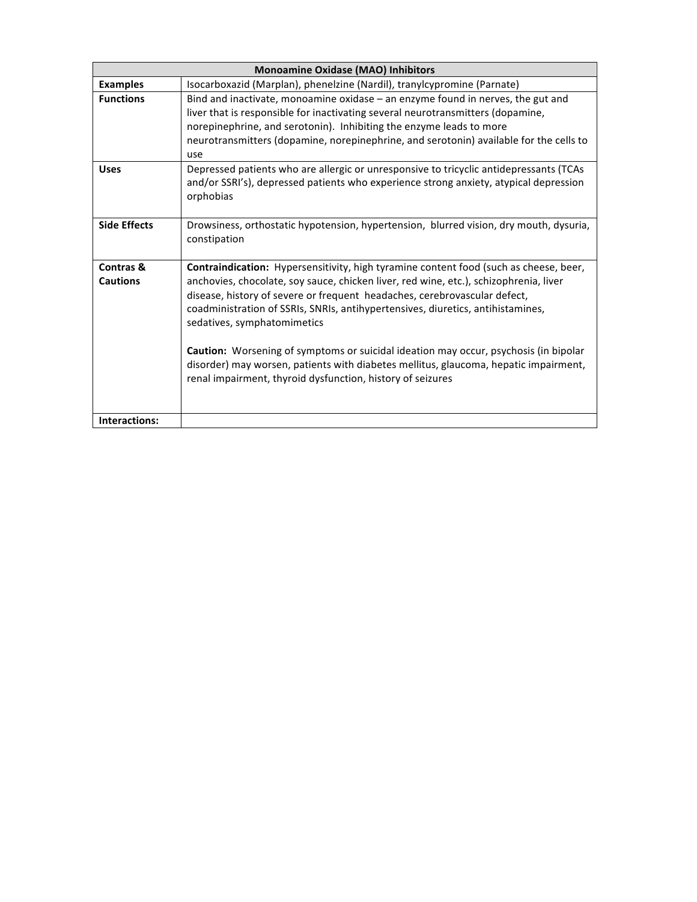|                              | <b>Monoamine Oxidase (MAO) Inhibitors</b>                                                                                                                                                                                                                                                                                                                                                                                                                                                                                                                                                                                   |  |
|------------------------------|-----------------------------------------------------------------------------------------------------------------------------------------------------------------------------------------------------------------------------------------------------------------------------------------------------------------------------------------------------------------------------------------------------------------------------------------------------------------------------------------------------------------------------------------------------------------------------------------------------------------------------|--|
| <b>Examples</b>              | Isocarboxazid (Marplan), phenelzine (Nardil), tranylcypromine (Parnate)                                                                                                                                                                                                                                                                                                                                                                                                                                                                                                                                                     |  |
| <b>Functions</b>             | Bind and inactivate, monoamine oxidase - an enzyme found in nerves, the gut and<br>liver that is responsible for inactivating several neurotransmitters (dopamine,<br>norepinephrine, and serotonin). Inhibiting the enzyme leads to more<br>neurotransmitters (dopamine, norepinephrine, and serotonin) available for the cells to<br>use                                                                                                                                                                                                                                                                                  |  |
| <b>Uses</b>                  | Depressed patients who are allergic or unresponsive to tricyclic antidepressants (TCAs<br>and/or SSRI's), depressed patients who experience strong anxiety, atypical depression<br>orphobias                                                                                                                                                                                                                                                                                                                                                                                                                                |  |
| <b>Side Effects</b>          | Drowsiness, orthostatic hypotension, hypertension, blurred vision, dry mouth, dysuria,<br>constipation                                                                                                                                                                                                                                                                                                                                                                                                                                                                                                                      |  |
| Contras &<br><b>Cautions</b> | Contraindication: Hypersensitivity, high tyramine content food (such as cheese, beer,<br>anchovies, chocolate, soy sauce, chicken liver, red wine, etc.), schizophrenia, liver<br>disease, history of severe or frequent headaches, cerebrovascular defect,<br>coadministration of SSRIs, SNRIs, antihypertensives, diuretics, antihistamines,<br>sedatives, symphatomimetics<br>Caution: Worsening of symptoms or suicidal ideation may occur, psychosis (in bipolar<br>disorder) may worsen, patients with diabetes mellitus, glaucoma, hepatic impairment,<br>renal impairment, thyroid dysfunction, history of seizures |  |
| Interactions:                |                                                                                                                                                                                                                                                                                                                                                                                                                                                                                                                                                                                                                             |  |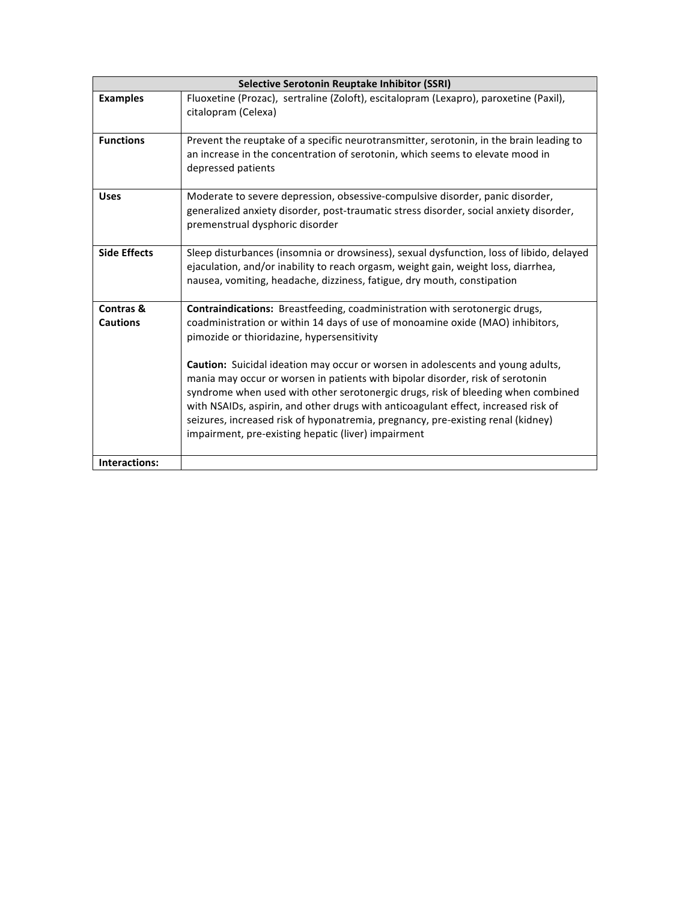| Selective Serotonin Reuptake Inhibitor (SSRI) |                                                                                                                                                                                                                                                                                                                                                                                                                                                                                               |
|-----------------------------------------------|-----------------------------------------------------------------------------------------------------------------------------------------------------------------------------------------------------------------------------------------------------------------------------------------------------------------------------------------------------------------------------------------------------------------------------------------------------------------------------------------------|
| <b>Examples</b>                               | Fluoxetine (Prozac), sertraline (Zoloft), escitalopram (Lexapro), paroxetine (Paxil),<br>citalopram (Celexa)                                                                                                                                                                                                                                                                                                                                                                                  |
| <b>Functions</b>                              | Prevent the reuptake of a specific neurotransmitter, serotonin, in the brain leading to<br>an increase in the concentration of serotonin, which seems to elevate mood in<br>depressed patients                                                                                                                                                                                                                                                                                                |
| <b>Uses</b>                                   | Moderate to severe depression, obsessive-compulsive disorder, panic disorder,<br>generalized anxiety disorder, post-traumatic stress disorder, social anxiety disorder,<br>premenstrual dysphoric disorder                                                                                                                                                                                                                                                                                    |
| <b>Side Effects</b>                           | Sleep disturbances (insomnia or drowsiness), sexual dysfunction, loss of libido, delayed<br>ejaculation, and/or inability to reach orgasm, weight gain, weight loss, diarrhea,<br>nausea, vomiting, headache, dizziness, fatigue, dry mouth, constipation                                                                                                                                                                                                                                     |
| Contras &<br><b>Cautions</b>                  | Contraindications: Breastfeeding, coadministration with serotonergic drugs,<br>coadministration or within 14 days of use of monoamine oxide (MAO) inhibitors,<br>pimozide or thioridazine, hypersensitivity                                                                                                                                                                                                                                                                                   |
|                                               | <b>Caution:</b> Suicidal ideation may occur or worsen in adolescents and young adults,<br>mania may occur or worsen in patients with bipolar disorder, risk of serotonin<br>syndrome when used with other serotonergic drugs, risk of bleeding when combined<br>with NSAIDs, aspirin, and other drugs with anticoagulant effect, increased risk of<br>seizures, increased risk of hyponatremia, pregnancy, pre-existing renal (kidney)<br>impairment, pre-existing hepatic (liver) impairment |
| Interactions:                                 |                                                                                                                                                                                                                                                                                                                                                                                                                                                                                               |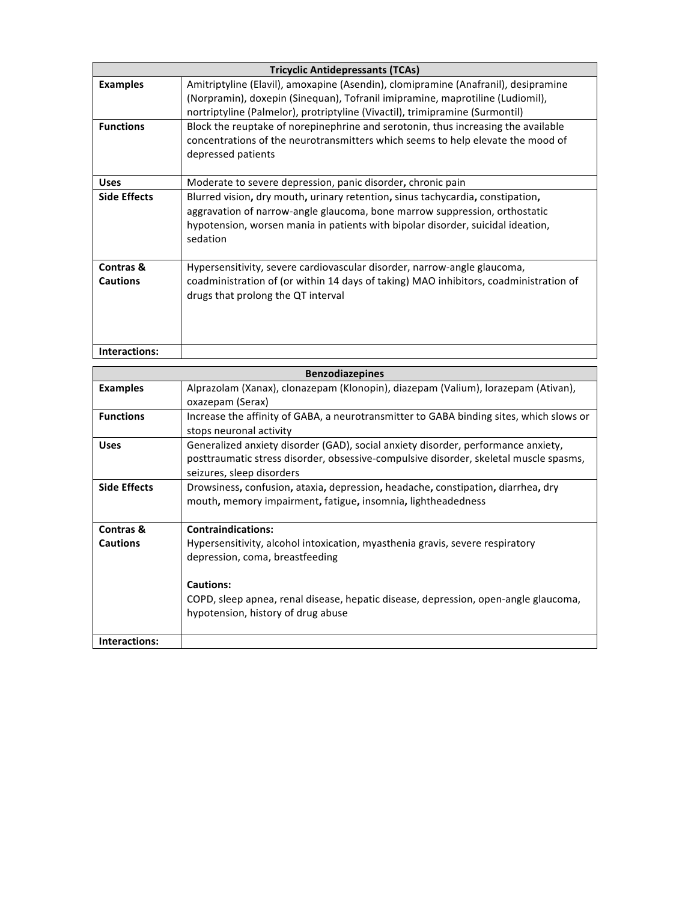|                              | <b>Tricyclic Antidepressants (TCAs)</b>                                                                                                                                                                                                                     |
|------------------------------|-------------------------------------------------------------------------------------------------------------------------------------------------------------------------------------------------------------------------------------------------------------|
| <b>Examples</b>              | Amitriptyline (Elavil), amoxapine (Asendin), clomipramine (Anafranil), desipramine<br>(Norpramin), doxepin (Sinequan), Tofranil imipramine, maprotiline (Ludiomil),<br>nortriptyline (Palmelor), protriptyline (Vivactil), trimipramine (Surmontil)         |
| <b>Functions</b>             | Block the reuptake of norepinephrine and serotonin, thus increasing the available<br>concentrations of the neurotransmitters which seems to help elevate the mood of<br>depressed patients                                                                  |
| <b>Uses</b>                  | Moderate to severe depression, panic disorder, chronic pain                                                                                                                                                                                                 |
| <b>Side Effects</b>          | Blurred vision, dry mouth, urinary retention, sinus tachycardia, constipation,<br>aggravation of narrow-angle glaucoma, bone marrow suppression, orthostatic<br>hypotension, worsen mania in patients with bipolar disorder, suicidal ideation,<br>sedation |
| Contras &<br><b>Cautions</b> | Hypersensitivity, severe cardiovascular disorder, narrow-angle glaucoma,<br>coadministration of (or within 14 days of taking) MAO inhibitors, coadministration of<br>drugs that prolong the QT interval                                                     |
| Interactions:                |                                                                                                                                                                                                                                                             |

| <b>Benzodiazepines</b> |                                                                                                                                                                                                         |  |
|------------------------|---------------------------------------------------------------------------------------------------------------------------------------------------------------------------------------------------------|--|
| <b>Examples</b>        | Alprazolam (Xanax), clonazepam (Klonopin), diazepam (Valium), lorazepam (Ativan),<br>oxazepam (Serax)                                                                                                   |  |
| <b>Functions</b>       | Increase the affinity of GABA, a neurotransmitter to GABA binding sites, which slows or<br>stops neuronal activity                                                                                      |  |
| <b>Uses</b>            | Generalized anxiety disorder (GAD), social anxiety disorder, performance anxiety,<br>posttraumatic stress disorder, obsessive-compulsive disorder, skeletal muscle spasms,<br>seizures, sleep disorders |  |
| <b>Side Effects</b>    | Drowsiness, confusion, ataxia, depression, headache, constipation, diarrhea, dry<br>mouth, memory impairment, fatigue, insomnia, lightheadedness                                                        |  |
| Contras &              | <b>Contraindications:</b>                                                                                                                                                                               |  |
| <b>Cautions</b>        | Hypersensitivity, alcohol intoxication, myasthenia gravis, severe respiratory<br>depression, coma, breastfeeding                                                                                        |  |
|                        | Cautions:                                                                                                                                                                                               |  |
|                        | COPD, sleep apnea, renal disease, hepatic disease, depression, open-angle glaucoma,<br>hypotension, history of drug abuse                                                                               |  |
| Interactions:          |                                                                                                                                                                                                         |  |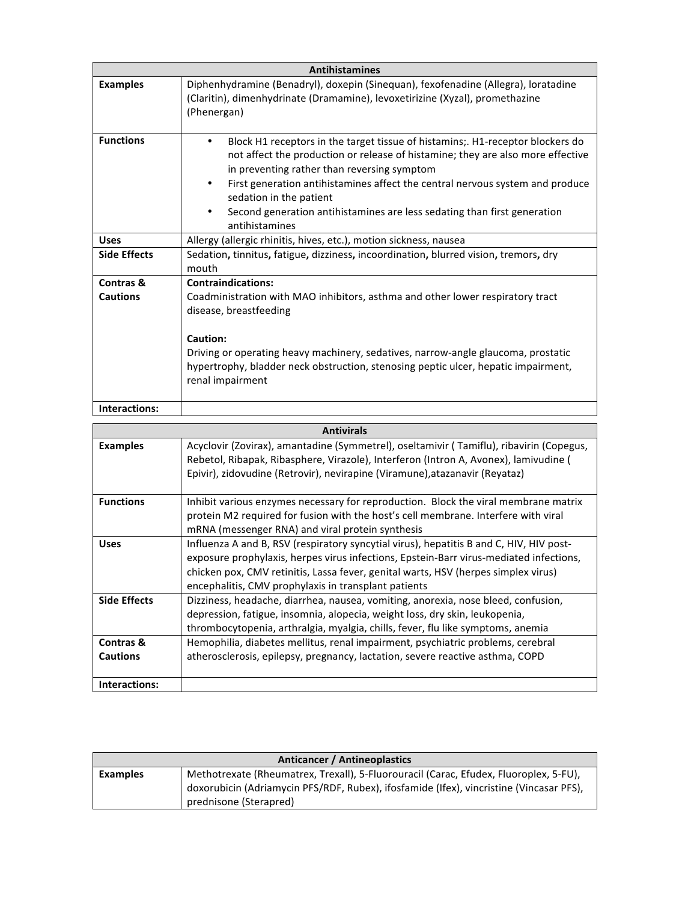|                     | <b>Antihistamines</b>                                                                                                                                                                                                                                                                                                                                                                                                                |  |
|---------------------|--------------------------------------------------------------------------------------------------------------------------------------------------------------------------------------------------------------------------------------------------------------------------------------------------------------------------------------------------------------------------------------------------------------------------------------|--|
| <b>Examples</b>     | Diphenhydramine (Benadryl), doxepin (Sinequan), fexofenadine (Allegra), loratadine<br>(Claritin), dimenhydrinate (Dramamine), levoxetirizine (Xyzal), promethazine<br>(Phenergan)                                                                                                                                                                                                                                                    |  |
| <b>Functions</b>    | Block H1 receptors in the target tissue of histamins;. H1-receptor blockers do<br>٠<br>not affect the production or release of histamine; they are also more effective<br>in preventing rather than reversing symptom<br>First generation antihistamines affect the central nervous system and produce<br>٠<br>sedation in the patient<br>Second generation antihistamines are less sedating than first generation<br>antihistamines |  |
| <b>Uses</b>         | Allergy (allergic rhinitis, hives, etc.), motion sickness, nausea                                                                                                                                                                                                                                                                                                                                                                    |  |
| <b>Side Effects</b> | Sedation, tinnitus, fatigue, dizziness, incoordination, blurred vision, tremors, dry<br>mouth                                                                                                                                                                                                                                                                                                                                        |  |
| Contras &           | <b>Contraindications:</b>                                                                                                                                                                                                                                                                                                                                                                                                            |  |
| <b>Cautions</b>     | Coadministration with MAO inhibitors, asthma and other lower respiratory tract<br>disease, breastfeeding<br>Caution:<br>Driving or operating heavy machinery, sedatives, narrow-angle glaucoma, prostatic<br>hypertrophy, bladder neck obstruction, stenosing peptic ulcer, hepatic impairment,<br>renal impairment                                                                                                                  |  |
| Interactions:       |                                                                                                                                                                                                                                                                                                                                                                                                                                      |  |

| <b>Antivirals</b>            |                                                                                                                                                                                                                                                                                                                                 |  |
|------------------------------|---------------------------------------------------------------------------------------------------------------------------------------------------------------------------------------------------------------------------------------------------------------------------------------------------------------------------------|--|
| <b>Examples</b>              | Acyclovir (Zovirax), amantadine (Symmetrel), oseltamivir (Tamiflu), ribavirin (Copegus,<br>Rebetol, Ribapak, Ribasphere, Virazole), Interferon (Intron A, Avonex), lamivudine (<br>Epivir), zidovudine (Retrovir), nevirapine (Viramune), atazanavir (Reyataz)                                                                  |  |
| <b>Functions</b>             | Inhibit various enzymes necessary for reproduction. Block the viral membrane matrix<br>protein M2 required for fusion with the host's cell membrane. Interfere with viral<br>mRNA (messenger RNA) and viral protein synthesis                                                                                                   |  |
| <b>Uses</b>                  | Influenza A and B, RSV (respiratory syncytial virus), hepatitis B and C, HIV, HIV post-<br>exposure prophylaxis, herpes virus infections, Epstein-Barr virus-mediated infections,<br>chicken pox, CMV retinitis, Lassa fever, genital warts, HSV (herpes simplex virus)<br>encephalitis, CMV prophylaxis in transplant patients |  |
| <b>Side Effects</b>          | Dizziness, headache, diarrhea, nausea, vomiting, anorexia, nose bleed, confusion,<br>depression, fatigue, insomnia, alopecia, weight loss, dry skin, leukopenia,<br>thrombocytopenia, arthralgia, myalgia, chills, fever, flu like symptoms, anemia                                                                             |  |
| Contras &<br><b>Cautions</b> | Hemophilia, diabetes mellitus, renal impairment, psychiatric problems, cerebral<br>atherosclerosis, epilepsy, pregnancy, lactation, severe reactive asthma, COPD                                                                                                                                                                |  |
| Interactions:                |                                                                                                                                                                                                                                                                                                                                 |  |

| Anticancer / Antineoplastics |                                                                                         |
|------------------------------|-----------------------------------------------------------------------------------------|
| Examples                     | Methotrexate (Rheumatrex, Trexall), 5-Fluorouracil (Carac, Efudex, Fluoroplex, 5-FU),   |
|                              | doxorubicin (Adriamycin PFS/RDF, Rubex), ifosfamide (Ifex), vincristine (Vincasar PFS), |
|                              | prednisone (Sterapred)                                                                  |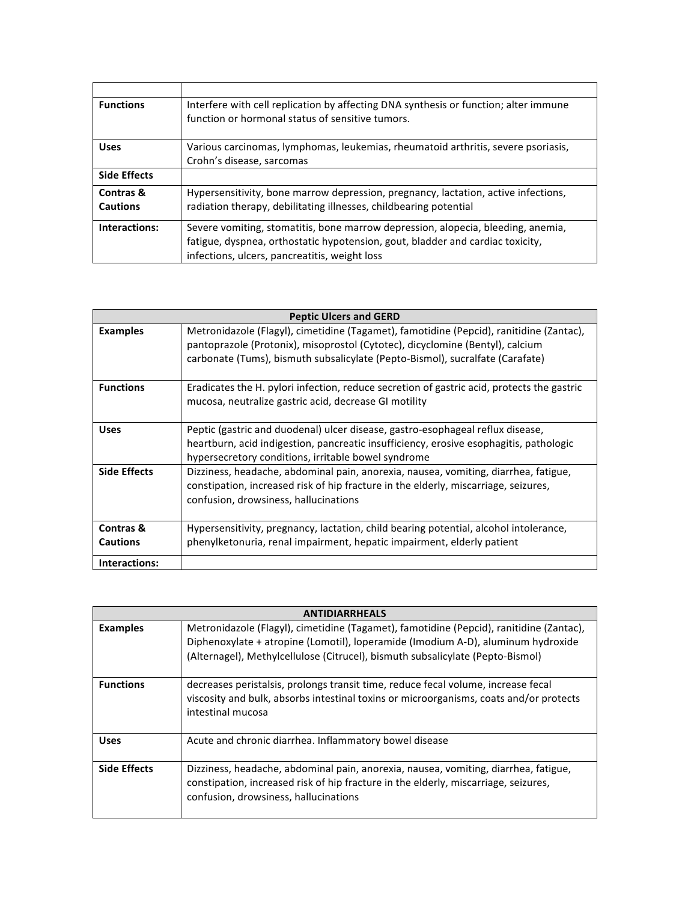| <b>Functions</b>    | Interfere with cell replication by affecting DNA synthesis or function; alter immune<br>function or hormonal status of sensitive tumors. |
|---------------------|------------------------------------------------------------------------------------------------------------------------------------------|
|                     |                                                                                                                                          |
| <b>Uses</b>         | Various carcinomas, lymphomas, leukemias, rheumatoid arthritis, severe psoriasis,                                                        |
|                     | Crohn's disease, sarcomas                                                                                                                |
| <b>Side Effects</b> |                                                                                                                                          |
| Contras &           | Hypersensitivity, bone marrow depression, pregnancy, lactation, active infections,                                                       |
| <b>Cautions</b>     | radiation therapy, debilitating illnesses, childbearing potential                                                                        |
| Interactions:       | Severe vomiting, stomatitis, bone marrow depression, alopecia, bleeding, anemia,                                                         |
|                     | fatigue, dyspnea, orthostatic hypotension, gout, bladder and cardiac toxicity,                                                           |
|                     | infections, ulcers, pancreatitis, weight loss                                                                                            |

|                              | <b>Peptic Ulcers and GERD</b>                                                                                                                                                                                                                             |
|------------------------------|-----------------------------------------------------------------------------------------------------------------------------------------------------------------------------------------------------------------------------------------------------------|
| <b>Examples</b>              | Metronidazole (Flagyl), cimetidine (Tagamet), famotidine (Pepcid), ranitidine (Zantac),<br>pantoprazole (Protonix), misoprostol (Cytotec), dicyclomine (Bentyl), calcium<br>carbonate (Tums), bismuth subsalicylate (Pepto-Bismol), sucralfate (Carafate) |
| <b>Functions</b>             | Eradicates the H. pylori infection, reduce secretion of gastric acid, protects the gastric<br>mucosa, neutralize gastric acid, decrease GI motility                                                                                                       |
| <b>Uses</b>                  | Peptic (gastric and duodenal) ulcer disease, gastro-esophageal reflux disease,<br>heartburn, acid indigestion, pancreatic insufficiency, erosive esophagitis, pathologic<br>hypersecretory conditions, irritable bowel syndrome                           |
| <b>Side Effects</b>          | Dizziness, headache, abdominal pain, anorexia, nausea, vomiting, diarrhea, fatigue,<br>constipation, increased risk of hip fracture in the elderly, miscarriage, seizures,<br>confusion, drowsiness, hallucinations                                       |
| Contras &<br><b>Cautions</b> | Hypersensitivity, pregnancy, lactation, child bearing potential, alcohol intolerance,<br>phenylketonuria, renal impairment, hepatic impairment, elderly patient                                                                                           |
| Interactions:                |                                                                                                                                                                                                                                                           |

| <b>ANTIDIARRHEALS</b> |                                                                                                                                                                                                                                                               |
|-----------------------|---------------------------------------------------------------------------------------------------------------------------------------------------------------------------------------------------------------------------------------------------------------|
| <b>Examples</b>       | Metronidazole (Flagyl), cimetidine (Tagamet), famotidine (Pepcid), ranitidine (Zantac),<br>Diphenoxylate + atropine (Lomotil), loperamide (Imodium A-D), aluminum hydroxide<br>(Alternagel), Methylcellulose (Citrucel), bismuth subsalicylate (Pepto-Bismol) |
| <b>Functions</b>      | decreases peristalsis, prolongs transit time, reduce fecal volume, increase fecal<br>viscosity and bulk, absorbs intestinal toxins or microorganisms, coats and/or protects<br>intestinal mucosa                                                              |
| <b>Uses</b>           | Acute and chronic diarrhea. Inflammatory bowel disease                                                                                                                                                                                                        |
| <b>Side Effects</b>   | Dizziness, headache, abdominal pain, anorexia, nausea, vomiting, diarrhea, fatigue,<br>constipation, increased risk of hip fracture in the elderly, miscarriage, seizures,<br>confusion, drowsiness, hallucinations                                           |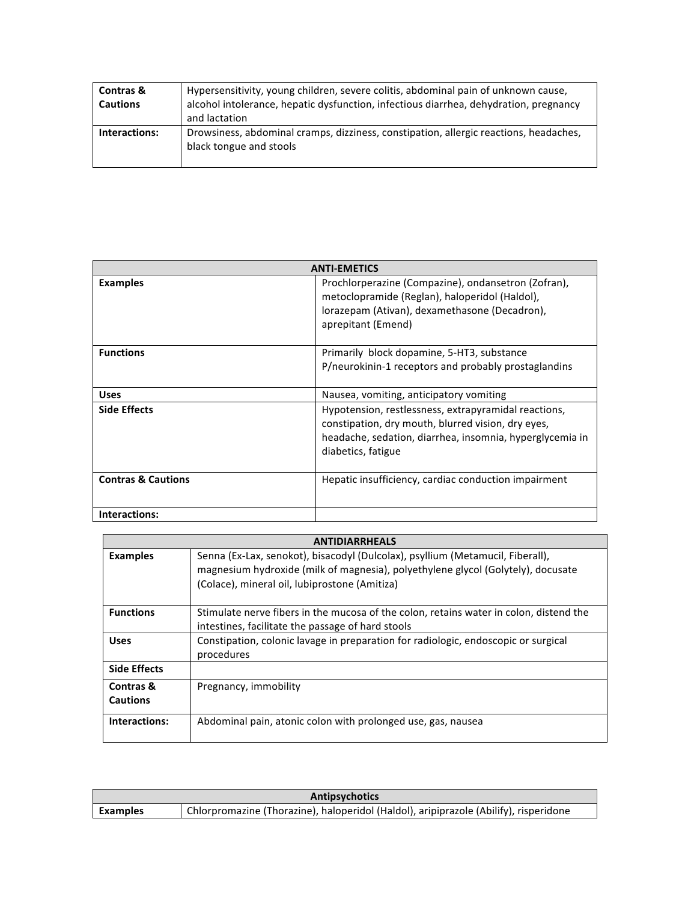| Contras &<br><b>Cautions</b> | Hypersensitivity, young children, severe colitis, abdominal pain of unknown cause,<br>alcohol intolerance, hepatic dysfunction, infectious diarrhea, dehydration, pregnancy<br>and lactation |
|------------------------------|----------------------------------------------------------------------------------------------------------------------------------------------------------------------------------------------|
| Interactions:                | Drowsiness, abdominal cramps, dizziness, constipation, allergic reactions, headaches,<br>black tongue and stools                                                                             |

|                               | <b>ANTI-EMETICS</b>                                                                                                                                                                          |
|-------------------------------|----------------------------------------------------------------------------------------------------------------------------------------------------------------------------------------------|
| <b>Examples</b>               | Prochlorperazine (Compazine), ondansetron (Zofran),<br>metoclopramide (Reglan), haloperidol (Haldol),<br>lorazepam (Ativan), dexamethasone (Decadron),<br>aprepitant (Emend)                 |
| <b>Functions</b>              | Primarily block dopamine, 5-HT3, substance<br>P/neurokinin-1 receptors and probably prostaglandins                                                                                           |
| <b>Uses</b>                   | Nausea, vomiting, anticipatory vomiting                                                                                                                                                      |
| <b>Side Effects</b>           | Hypotension, restlessness, extrapyramidal reactions,<br>constipation, dry mouth, blurred vision, dry eyes,<br>headache, sedation, diarrhea, insomnia, hyperglycemia in<br>diabetics, fatigue |
| <b>Contras &amp; Cautions</b> | Hepatic insufficiency, cardiac conduction impairment                                                                                                                                         |
| Interactions:                 |                                                                                                                                                                                              |

| <b>ANTIDIARRHEALS</b>        |                                                                                                                                                                                                                     |
|------------------------------|---------------------------------------------------------------------------------------------------------------------------------------------------------------------------------------------------------------------|
| <b>Examples</b>              | Senna (Ex-Lax, senokot), bisacodyl (Dulcolax), psyllium (Metamucil, Fiberall),<br>magnesium hydroxide (milk of magnesia), polyethylene glycol (Golytely), docusate<br>(Colace), mineral oil, lubiprostone (Amitiza) |
| <b>Functions</b>             | Stimulate nerve fibers in the mucosa of the colon, retains water in colon, distend the<br>intestines, facilitate the passage of hard stools                                                                         |
| <b>Uses</b>                  | Constipation, colonic lavage in preparation for radiologic, endoscopic or surgical<br>procedures                                                                                                                    |
| <b>Side Effects</b>          |                                                                                                                                                                                                                     |
| Contras &<br><b>Cautions</b> | Pregnancy, immobility                                                                                                                                                                                               |
| Interactions:                | Abdominal pain, atonic colon with prolonged use, gas, nausea                                                                                                                                                        |

| <b>Antipsychotics</b> |                                                                                       |  |
|-----------------------|---------------------------------------------------------------------------------------|--|
| Examples              | Chlorpromazine (Thorazine), haloperidol (Haldol), aripiprazole (Abilify), risperidone |  |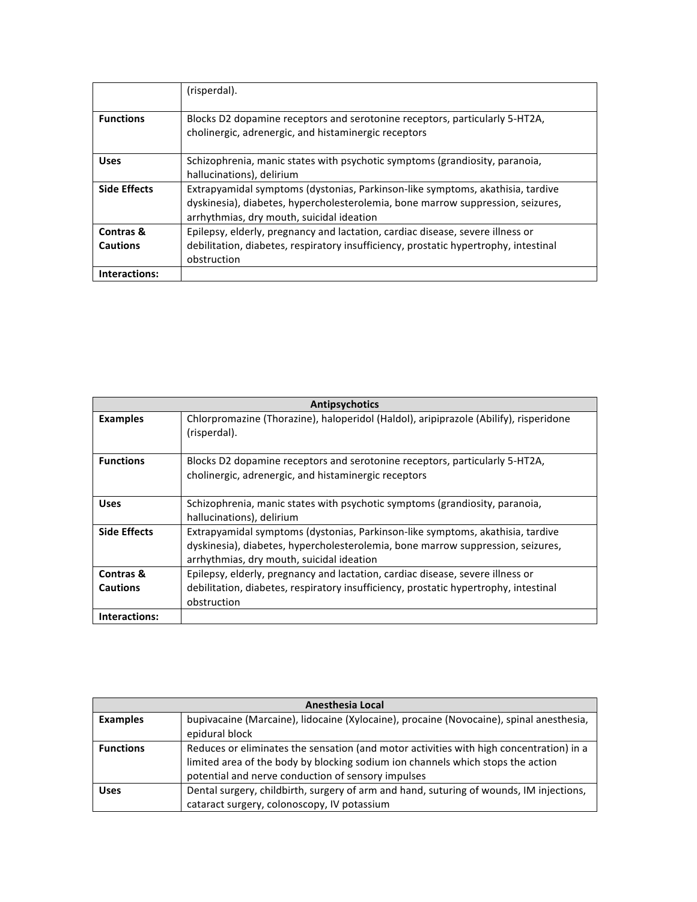|                              | (risperdal).                                                                                                                                                                                                   |
|------------------------------|----------------------------------------------------------------------------------------------------------------------------------------------------------------------------------------------------------------|
| <b>Functions</b>             | Blocks D2 dopamine receptors and serotonine receptors, particularly 5-HT2A,<br>cholinergic, adrenergic, and histaminergic receptors                                                                            |
| <b>Uses</b>                  | Schizophrenia, manic states with psychotic symptoms (grandiosity, paranoia,<br>hallucinations), delirium                                                                                                       |
| <b>Side Effects</b>          | Extrapyamidal symptoms (dystonias, Parkinson-like symptoms, akathisia, tardive<br>dyskinesia), diabetes, hypercholesterolemia, bone marrow suppression, seizures,<br>arrhythmias, dry mouth, suicidal ideation |
| Contras &<br><b>Cautions</b> | Epilepsy, elderly, pregnancy and lactation, cardiac disease, severe illness or<br>debilitation, diabetes, respiratory insufficiency, prostatic hypertrophy, intestinal<br>obstruction                          |
| Interactions:                |                                                                                                                                                                                                                |

| Antipsychotics               |                                                                                                                                                                                                                |
|------------------------------|----------------------------------------------------------------------------------------------------------------------------------------------------------------------------------------------------------------|
| <b>Examples</b>              | Chlorpromazine (Thorazine), haloperidol (Haldol), aripiprazole (Abilify), risperidone<br>(risperdal).                                                                                                          |
| <b>Functions</b>             | Blocks D2 dopamine receptors and serotonine receptors, particularly 5-HT2A,<br>cholinergic, adrenergic, and histaminergic receptors                                                                            |
| <b>Uses</b>                  | Schizophrenia, manic states with psychotic symptoms (grandiosity, paranoia,<br>hallucinations), delirium                                                                                                       |
| <b>Side Effects</b>          | Extrapyamidal symptoms (dystonias, Parkinson-like symptoms, akathisia, tardive<br>dyskinesia), diabetes, hypercholesterolemia, bone marrow suppression, seizures,<br>arrhythmias, dry mouth, suicidal ideation |
| Contras &<br><b>Cautions</b> | Epilepsy, elderly, pregnancy and lactation, cardiac disease, severe illness or<br>debilitation, diabetes, respiratory insufficiency, prostatic hypertrophy, intestinal<br>obstruction                          |
| Interactions:                |                                                                                                                                                                                                                |

| Anesthesia Local |                                                                                         |
|------------------|-----------------------------------------------------------------------------------------|
| <b>Examples</b>  | bupivacaine (Marcaine), lidocaine (Xylocaine), procaine (Novocaine), spinal anesthesia, |
|                  | epidural block                                                                          |
| <b>Functions</b> | Reduces or eliminates the sensation (and motor activities with high concentration) in a |
|                  | limited area of the body by blocking sodium ion channels which stops the action         |
|                  | potential and nerve conduction of sensory impulses                                      |
| <b>Uses</b>      | Dental surgery, childbirth, surgery of arm and hand, suturing of wounds, IM injections, |
|                  | cataract surgery, colonoscopy, IV potassium                                             |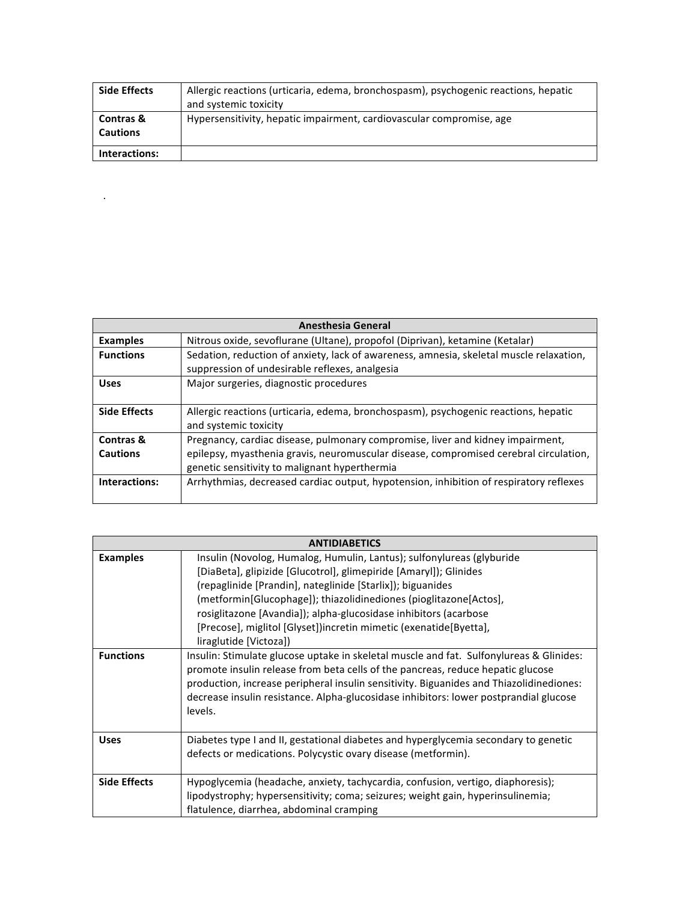| <b>Side Effects</b>                     | Allergic reactions (urticaria, edema, bronchospasm), psychogenic reactions, hepatic<br>and systemic toxicity |
|-----------------------------------------|--------------------------------------------------------------------------------------------------------------|
| <b>Contras &amp;</b><br><b>Cautions</b> | Hypersensitivity, hepatic impairment, cardiovascular compromise, age                                         |
| Interactions:                           |                                                                                                              |

 $\mathcal{L}^{\mathcal{L}}$  . The set of  $\mathcal{L}^{\mathcal{L}}$ 

|                     | <b>Anesthesia General</b>                                                                                                                 |
|---------------------|-------------------------------------------------------------------------------------------------------------------------------------------|
| <b>Examples</b>     | Nitrous oxide, sevoflurane (Ultane), propofol (Diprivan), ketamine (Ketalar)                                                              |
| <b>Functions</b>    | Sedation, reduction of anxiety, lack of awareness, amnesia, skeletal muscle relaxation,<br>suppression of undesirable reflexes, analgesia |
| <b>Uses</b>         | Major surgeries, diagnostic procedures                                                                                                    |
| <b>Side Effects</b> | Allergic reactions (urticaria, edema, bronchospasm), psychogenic reactions, hepatic<br>and systemic toxicity                              |
| Contras &           | Pregnancy, cardiac disease, pulmonary compromise, liver and kidney impairment,                                                            |
| <b>Cautions</b>     | epilepsy, myasthenia gravis, neuromuscular disease, compromised cerebral circulation,<br>genetic sensitivity to malignant hyperthermia    |
| Interactions:       | Arrhythmias, decreased cardiac output, hypotension, inhibition of respiratory reflexes                                                    |

| <b>ANTIDIABETICS</b> |                                                                                                                                                                                                                                                                                                                                                                                                                                                  |
|----------------------|--------------------------------------------------------------------------------------------------------------------------------------------------------------------------------------------------------------------------------------------------------------------------------------------------------------------------------------------------------------------------------------------------------------------------------------------------|
| <b>Examples</b>      | Insulin (Novolog, Humalog, Humulin, Lantus); sulfonylureas (glyburide<br>[DiaBeta], glipizide [Glucotrol], glimepiride [Amaryl]); Glinides<br>(repaglinide [Prandin], nateglinide [Starlix]); biguanides<br>(metformin[Glucophage]); thiazolidinediones (pioglitazone[Actos],<br>rosiglitazone [Avandia]); alpha-glucosidase inhibitors (acarbose<br>[Precose], miglitol [Glyset])incretin mimetic (exenatide[Byetta],<br>liraglutide [Victoza]) |
| <b>Functions</b>     | Insulin: Stimulate glucose uptake in skeletal muscle and fat. Sulfonylureas & Glinides:<br>promote insulin release from beta cells of the pancreas, reduce hepatic glucose<br>production, increase peripheral insulin sensitivity. Biguanides and Thiazolidinediones:<br>decrease insulin resistance. Alpha-glucosidase inhibitors: lower postprandial glucose<br>levels.                                                                        |
| <b>Uses</b>          | Diabetes type I and II, gestational diabetes and hyperglycemia secondary to genetic<br>defects or medications. Polycystic ovary disease (metformin).                                                                                                                                                                                                                                                                                             |
| <b>Side Effects</b>  | Hypoglycemia (headache, anxiety, tachycardia, confusion, vertigo, diaphoresis);<br>lipodystrophy; hypersensitivity; coma; seizures; weight gain, hyperinsulinemia;<br>flatulence, diarrhea, abdominal cramping                                                                                                                                                                                                                                   |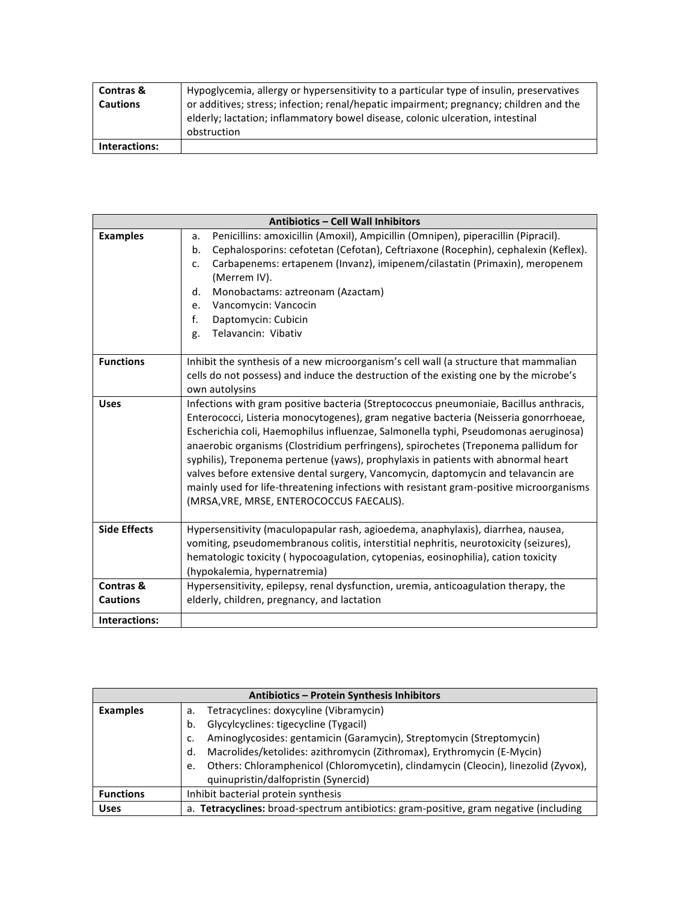| <b>Contras &amp;</b><br><b>Cautions</b> | Hypoglycemia, allergy or hypersensitivity to a particular type of insulin, preservatives<br>or additives; stress; infection; renal/hepatic impairment; pregnancy; children and the<br>elderly; lactation; inflammatory bowel disease, colonic ulceration, intestinal<br>obstruction |
|-----------------------------------------|-------------------------------------------------------------------------------------------------------------------------------------------------------------------------------------------------------------------------------------------------------------------------------------|
| Interactions:                           |                                                                                                                                                                                                                                                                                     |

| Antibiotics - Cell Wall Inhibitors |                                                                                                                                                                                                                                                                                                                                                                                                                                                                                                                                                                                                                                                                               |
|------------------------------------|-------------------------------------------------------------------------------------------------------------------------------------------------------------------------------------------------------------------------------------------------------------------------------------------------------------------------------------------------------------------------------------------------------------------------------------------------------------------------------------------------------------------------------------------------------------------------------------------------------------------------------------------------------------------------------|
| <b>Examples</b>                    | Penicillins: amoxicillin (Amoxil), Ampicillin (Omnipen), piperacillin (Pipracil).<br>a.<br>Cephalosporins: cefotetan (Cefotan), Ceftriaxone (Rocephin), cephalexin (Keflex).<br>b.<br>Carbapenems: ertapenem (Invanz), imipenem/cilastatin (Primaxin), meropenem<br>C.<br>(Merrem IV).<br>Monobactams: aztreonam (Azactam)<br>d.<br>Vancomycin: Vancocin<br>e.<br>f.<br>Daptomycin: Cubicin                                                                                                                                                                                                                                                                                   |
|                                    | Telavancin: Vibativ<br>g.                                                                                                                                                                                                                                                                                                                                                                                                                                                                                                                                                                                                                                                     |
| <b>Functions</b>                   | Inhibit the synthesis of a new microorganism's cell wall (a structure that mammalian<br>cells do not possess) and induce the destruction of the existing one by the microbe's<br>own autolysins                                                                                                                                                                                                                                                                                                                                                                                                                                                                               |
| <b>Uses</b>                        | Infections with gram positive bacteria (Streptococcus pneumoniaie, Bacillus anthracis,<br>Enterococci, Listeria monocytogenes), gram negative bacteria (Neisseria gonorrhoeae,<br>Escherichia coli, Haemophilus influenzae, Salmonella typhi, Pseudomonas aeruginosa)<br>anaerobic organisms (Clostridium perfringens), spirochetes (Treponema pallidum for<br>syphilis), Treponema pertenue (yaws), prophylaxis in patients with abnormal heart<br>valves before extensive dental surgery, Vancomycin, daptomycin and telavancin are<br>mainly used for life-threatening infections with resistant gram-positive microorganisms<br>(MRSA, VRE, MRSE, ENTEROCOCCUS FAECALIS). |
| <b>Side Effects</b>                | Hypersensitivity (maculopapular rash, agioedema, anaphylaxis), diarrhea, nausea,<br>vomiting, pseudomembranous colitis, interstitial nephritis, neurotoxicity (seizures),<br>hematologic toxicity (hypocoagulation, cytopenias, eosinophilia), cation toxicity<br>(hypokalemia, hypernatremia)                                                                                                                                                                                                                                                                                                                                                                                |
| Contras &<br><b>Cautions</b>       | Hypersensitivity, epilepsy, renal dysfunction, uremia, anticoagulation therapy, the<br>elderly, children, pregnancy, and lactation                                                                                                                                                                                                                                                                                                                                                                                                                                                                                                                                            |
| Interactions:                      |                                                                                                                                                                                                                                                                                                                                                                                                                                                                                                                                                                                                                                                                               |

| Antibiotics - Protein Synthesis Inhibitors |                                                                                          |  |
|--------------------------------------------|------------------------------------------------------------------------------------------|--|
| <b>Examples</b>                            | Tetracyclines: doxycyline (Vibramycin)<br>a.                                             |  |
|                                            | Glycylcyclines: tigecycline (Tygacil)<br>b.                                              |  |
|                                            | Aminoglycosides: gentamicin (Garamycin), Streptomycin (Streptomycin)                     |  |
|                                            | Macrolides/ketolides: azithromycin (Zithromax), Erythromycin (E-Mycin)<br>d.             |  |
|                                            | Others: Chloramphenicol (Chloromycetin), clindamycin (Cleocin), linezolid (Zyvox),<br>e. |  |
|                                            | quinupristin/dalfopristin (Synercid)                                                     |  |
| <b>Functions</b>                           | Inhibit bacterial protein synthesis                                                      |  |
| <b>Uses</b>                                | a. Tetracyclines: broad-spectrum antibiotics: gram-positive, gram negative (including    |  |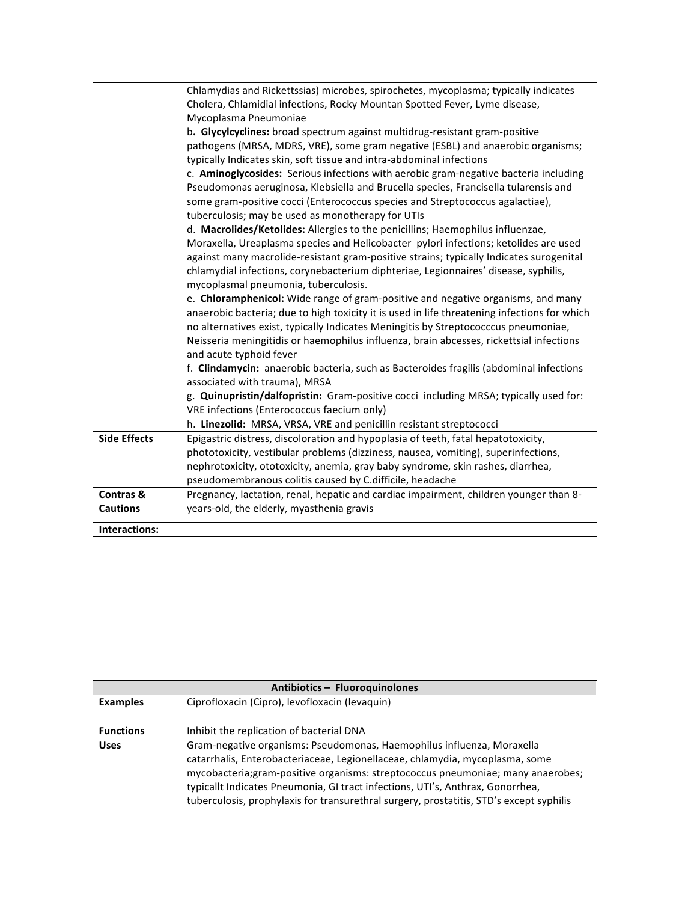|                     | Chlamydias and Rickettssias) microbes, spirochetes, mycoplasma; typically indicates          |
|---------------------|----------------------------------------------------------------------------------------------|
|                     | Cholera, Chlamidial infections, Rocky Mountan Spotted Fever, Lyme disease,                   |
|                     | Mycoplasma Pneumoniae                                                                        |
|                     | b. Glycylcyclines: broad spectrum against multidrug-resistant gram-positive                  |
|                     | pathogens (MRSA, MDRS, VRE), some gram negative (ESBL) and anaerobic organisms;              |
|                     | typically Indicates skin, soft tissue and intra-abdominal infections                         |
|                     | c. Aminoglycosides: Serious infections with aerobic gram-negative bacteria including         |
|                     | Pseudomonas aeruginosa, Klebsiella and Brucella species, Francisella tularensis and          |
|                     | some gram-positive cocci (Enterococcus species and Streptococcus agalactiae),                |
|                     | tuberculosis; may be used as monotherapy for UTIs                                            |
|                     | d. Macrolides/Ketolides: Allergies to the penicillins; Haemophilus influenzae,               |
|                     | Moraxella, Ureaplasma species and Helicobacter pylori infections; ketolides are used         |
|                     | against many macrolide-resistant gram-positive strains; typically Indicates surogenital      |
|                     | chlamydial infections, corynebacterium diphteriae, Legionnaires' disease, syphilis,          |
|                     | mycoplasmal pneumonia, tuberculosis.                                                         |
|                     | e. Chloramphenicol: Wide range of gram-positive and negative organisms, and many             |
|                     | anaerobic bacteria; due to high toxicity it is used in life threatening infections for which |
|                     | no alternatives exist, typically Indicates Meningitis by Streptococccus pneumoniae,          |
|                     | Neisseria meningitidis or haemophilus influenza, brain abcesses, rickettsial infections      |
|                     | and acute typhoid fever                                                                      |
|                     | f. Clindamycin: anaerobic bacteria, such as Bacteroides fragilis (abdominal infections       |
|                     | associated with trauma), MRSA                                                                |
|                     | g. Quinupristin/dalfopristin: Gram-positive cocci including MRSA; typically used for:        |
|                     | VRE infections (Enterococcus faecium only)                                                   |
|                     | h. Linezolid: MRSA, VRSA, VRE and penicillin resistant streptococci                          |
| <b>Side Effects</b> | Epigastric distress, discoloration and hypoplasia of teeth, fatal hepatotoxicity,            |
|                     | phototoxicity, vestibular problems (dizziness, nausea, vomiting), superinfections,           |
|                     | nephrotoxicity, ototoxicity, anemia, gray baby syndrome, skin rashes, diarrhea,              |
|                     | pseudomembranous colitis caused by C.difficile, headache                                     |
| Contras &           | Pregnancy, lactation, renal, hepatic and cardiac impairment, children younger than 8-        |
| <b>Cautions</b>     | years-old, the elderly, myasthenia gravis                                                    |
| Interactions:       |                                                                                              |

| Antibiotics - Fluoroquinolones |                                                                                         |
|--------------------------------|-----------------------------------------------------------------------------------------|
| <b>Examples</b>                | Ciprofloxacin (Cipro), levofloxacin (levaquin)                                          |
|                                |                                                                                         |
| <b>Functions</b>               | Inhibit the replication of bacterial DNA                                                |
| <b>Uses</b>                    | Gram-negative organisms: Pseudomonas, Haemophilus influenza, Moraxella                  |
|                                | catarrhalis, Enterobacteriaceae, Legionellaceae, chlamydia, mycoplasma, some            |
|                                | mycobacteria; gram-positive organisms: streptococcus pneumoniae; many anaerobes;        |
|                                | typicallt Indicates Pneumonia, GI tract infections, UTI's, Anthrax, Gonorrhea,          |
|                                | tuberculosis, prophylaxis for transurethral surgery, prostatitis, STD's except syphilis |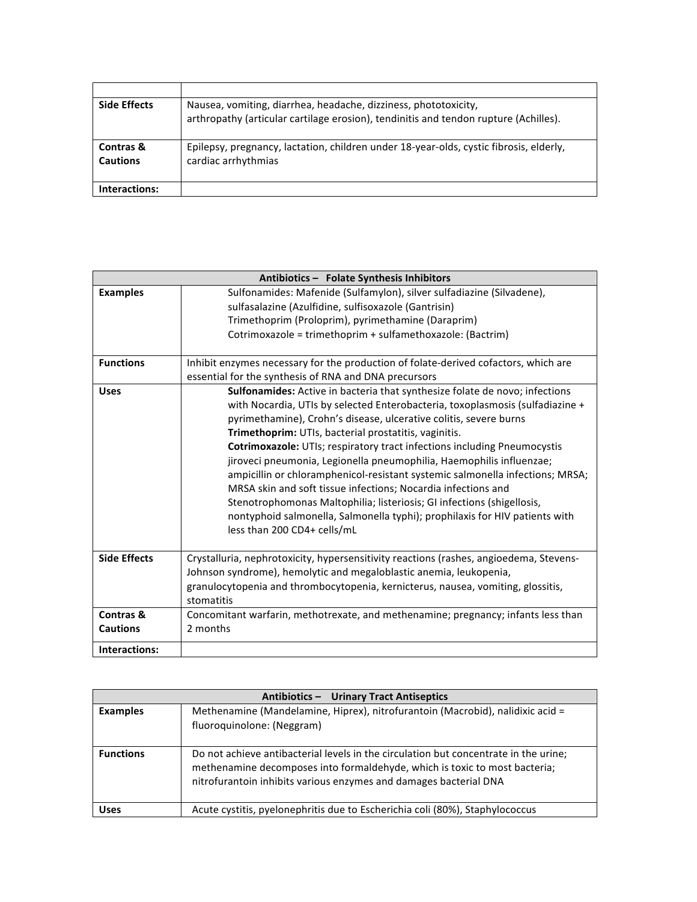| <b>Side Effects</b>                     | Nausea, vomiting, diarrhea, headache, dizziness, phototoxicity,<br>arthropathy (articular cartilage erosion), tendinitis and tendon rupture (Achilles). |
|-----------------------------------------|---------------------------------------------------------------------------------------------------------------------------------------------------------|
| <b>Contras &amp;</b><br><b>Cautions</b> | Epilepsy, pregnancy, lactation, children under 18-year-olds, cystic fibrosis, elderly,<br>cardiac arrhythmias                                           |
| Interactions:                           |                                                                                                                                                         |

|                              | Antibiotics - Folate Synthesis Inhibitors                                                                                                                                                                                                                                                                                                                                                                                                                                                                                                                                                                                                                                                                                                                                                       |  |
|------------------------------|-------------------------------------------------------------------------------------------------------------------------------------------------------------------------------------------------------------------------------------------------------------------------------------------------------------------------------------------------------------------------------------------------------------------------------------------------------------------------------------------------------------------------------------------------------------------------------------------------------------------------------------------------------------------------------------------------------------------------------------------------------------------------------------------------|--|
| <b>Examples</b>              | Sulfonamides: Mafenide (Sulfamylon), silver sulfadiazine (Silvadene),<br>sulfasalazine (Azulfidine, sulfisoxazole (Gantrisin)<br>Trimethoprim (Proloprim), pyrimethamine (Daraprim)<br>Cotrimoxazole = trimethoprim + sulfamethoxazole: (Bactrim)                                                                                                                                                                                                                                                                                                                                                                                                                                                                                                                                               |  |
| <b>Functions</b>             | Inhibit enzymes necessary for the production of folate-derived cofactors, which are<br>essential for the synthesis of RNA and DNA precursors                                                                                                                                                                                                                                                                                                                                                                                                                                                                                                                                                                                                                                                    |  |
| <b>Uses</b>                  | <b>Sulfonamides:</b> Active in bacteria that synthesize folate de novo; infections<br>with Nocardia, UTIs by selected Enterobacteria, toxoplasmosis (sulfadiazine +<br>pyrimethamine), Crohn's disease, ulcerative colitis, severe burns<br>Trimethoprim: UTIs, bacterial prostatitis, vaginitis.<br>Cotrimoxazole: UTIs; respiratory tract infections including Pneumocystis<br>jiroveci pneumonia, Legionella pneumophilia, Haemophilis influenzae;<br>ampicillin or chloramphenicol-resistant systemic salmonella infections; MRSA;<br>MRSA skin and soft tissue infections; Nocardia infections and<br>Stenotrophomonas Maltophilia; listeriosis; GI infections (shigellosis,<br>nontyphoid salmonella, Salmonella typhi); prophilaxis for HIV patients with<br>less than 200 CD4+ cells/mL |  |
| <b>Side Effects</b>          | Crystalluria, nephrotoxicity, hypersensitivity reactions (rashes, angioedema, Stevens-<br>Johnson syndrome), hemolytic and megaloblastic anemia, leukopenia,<br>granulocytopenia and thrombocytopenia, kernicterus, nausea, vomiting, glossitis,<br>stomatitis                                                                                                                                                                                                                                                                                                                                                                                                                                                                                                                                  |  |
| Contras &<br><b>Cautions</b> | Concomitant warfarin, methotrexate, and methenamine; pregnancy; infants less than<br>2 months                                                                                                                                                                                                                                                                                                                                                                                                                                                                                                                                                                                                                                                                                                   |  |
| Interactions:                |                                                                                                                                                                                                                                                                                                                                                                                                                                                                                                                                                                                                                                                                                                                                                                                                 |  |

| Antibiotics - Urinary Tract Antiseptics |                                                                                                                                                                                                                                         |
|-----------------------------------------|-----------------------------------------------------------------------------------------------------------------------------------------------------------------------------------------------------------------------------------------|
| <b>Examples</b>                         | Methenamine (Mandelamine, Hiprex), nitrofurantoin (Macrobid), nalidixic acid =<br>fluoroquinolone: (Neggram)                                                                                                                            |
| <b>Functions</b>                        | Do not achieve antibacterial levels in the circulation but concentrate in the urine;<br>methenamine decomposes into formaldehyde, which is toxic to most bacteria;<br>nitrofurantoin inhibits various enzymes and damages bacterial DNA |
| <b>Uses</b>                             | Acute cystitis, pyelonephritis due to Escherichia coli (80%), Staphylococcus                                                                                                                                                            |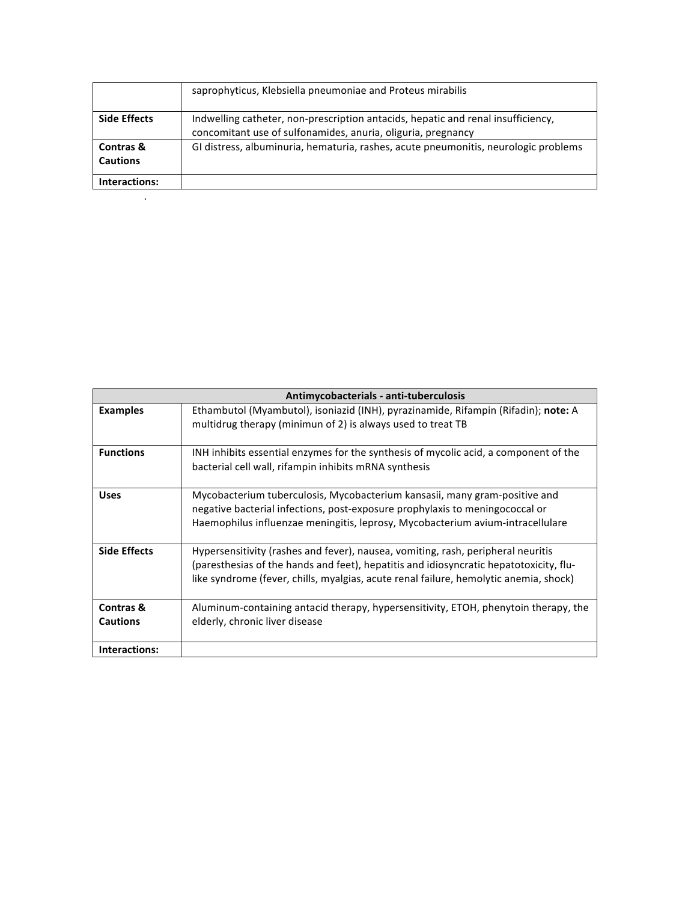|                                         | saprophyticus, Klebsiella pneumoniae and Proteus mirabilis                                                                                       |
|-----------------------------------------|--------------------------------------------------------------------------------------------------------------------------------------------------|
| <b>Side Effects</b>                     | Indwelling catheter, non-prescription antacids, hepatic and renal insufficiency,<br>concomitant use of sulfonamides, anuria, oliguria, pregnancy |
| <b>Contras &amp;</b><br><b>Cautions</b> | GI distress, albuminuria, hematuria, rashes, acute pneumonitis, neurologic problems                                                              |
| Interactions:                           |                                                                                                                                                  |
|                                         |                                                                                                                                                  |

|                              | Antimycobacterials - anti-tuberculosis                                                                                                                                                                                                                              |
|------------------------------|---------------------------------------------------------------------------------------------------------------------------------------------------------------------------------------------------------------------------------------------------------------------|
| <b>Examples</b>              | Ethambutol (Myambutol), isoniazid (INH), pyrazinamide, Rifampin (Rifadin); note: A<br>multidrug therapy (minimun of 2) is always used to treat TB                                                                                                                   |
| <b>Functions</b>             | INH inhibits essential enzymes for the synthesis of mycolic acid, a component of the<br>bacterial cell wall, rifampin inhibits mRNA synthesis                                                                                                                       |
| <b>Uses</b>                  | Mycobacterium tuberculosis, Mycobacterium kansasii, many gram-positive and<br>negative bacterial infections, post-exposure prophylaxis to meningococcal or<br>Haemophilus influenzae meningitis, leprosy, Mycobacterium avium-intracellulare                        |
| <b>Side Effects</b>          | Hypersensitivity (rashes and fever), nausea, vomiting, rash, peripheral neuritis<br>(paresthesias of the hands and feet), hepatitis and idiosyncratic hepatotoxicity, flu-<br>like syndrome (fever, chills, myalgias, acute renal failure, hemolytic anemia, shock) |
| Contras &<br><b>Cautions</b> | Aluminum-containing antacid therapy, hypersensitivity, ETOH, phenytoin therapy, the<br>elderly, chronic liver disease                                                                                                                                               |
| Interactions:                |                                                                                                                                                                                                                                                                     |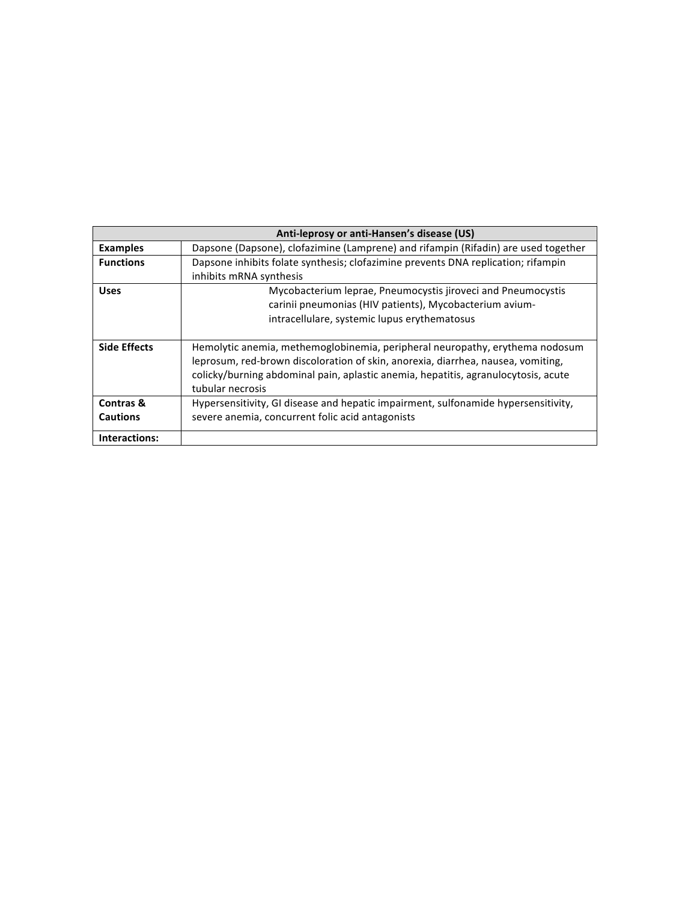| Anti-leprosy or anti-Hansen's disease (US) |                                                                                                                                                                                                                                                                            |
|--------------------------------------------|----------------------------------------------------------------------------------------------------------------------------------------------------------------------------------------------------------------------------------------------------------------------------|
| <b>Examples</b>                            | Dapsone (Dapsone), clofazimine (Lamprene) and rifampin (Rifadin) are used together                                                                                                                                                                                         |
| <b>Functions</b>                           | Dapsone inhibits folate synthesis; clofazimine prevents DNA replication; rifampin<br>inhibits mRNA synthesis                                                                                                                                                               |
| <b>Uses</b>                                | Mycobacterium leprae, Pneumocystis jiroveci and Pneumocystis<br>carinii pneumonias (HIV patients), Mycobacterium avium-<br>intracellulare, systemic lupus erythematosus                                                                                                    |
| <b>Side Effects</b>                        | Hemolytic anemia, methemoglobinemia, peripheral neuropathy, erythema nodosum<br>leprosum, red-brown discoloration of skin, anorexia, diarrhea, nausea, vomiting,<br>colicky/burning abdominal pain, aplastic anemia, hepatitis, agranulocytosis, acute<br>tubular necrosis |
| Contras &<br><b>Cautions</b>               | Hypersensitivity, GI disease and hepatic impairment, sulfonamide hypersensitivity,<br>severe anemia, concurrent folic acid antagonists                                                                                                                                     |
| Interactions:                              |                                                                                                                                                                                                                                                                            |